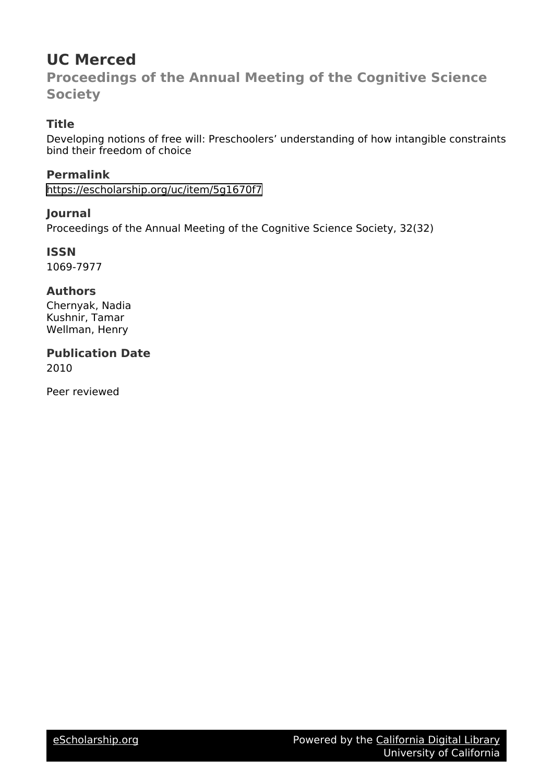# **UC Merced**

**Proceedings of the Annual Meeting of the Cognitive Science Society**

# **Title**

Developing notions of free will: Preschoolers' understanding of how intangible constraints bind their freedom of choice

**Permalink** <https://escholarship.org/uc/item/5g1670f7>

# **Journal**

Proceedings of the Annual Meeting of the Cognitive Science Society, 32(32)

**ISSN** 1069-7977

# **Authors**

Chernyak, Nadia Kushnir, Tamar Wellman, Henry

**Publication Date** 2010

Peer reviewed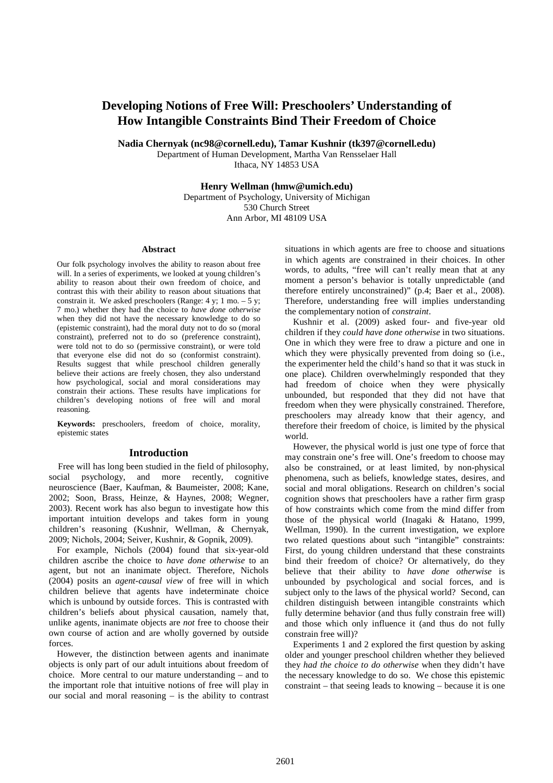# **Developing Notions of Free Will: Preschoolers' Understanding of How Intangible Constraints Bind Their Freedom of Choice**

**Nadia Chernyak (nc98@cornell.edu), Tamar Kushnir (tk397@cornell.edu)** 

Department of Human Development, Martha Van Rensselaer Hall Ithaca, NY 14853 USA

**Henry Wellman (hmw@umich.edu)** 

Department of Psychology, University of Michigan 530 Church Street Ann Arbor, MI 48109 USA

#### **Abstract**

Our folk psychology involves the ability to reason about free will. In a series of experiments, we looked at young children's ability to reason about their own freedom of choice, and contrast this with their ability to reason about situations that constrain it. We asked preschoolers (Range:  $4 \text{ y}$ ; 1 mo.  $-5 \text{ y}$ ; 7 mo.) whether they had the choice to *have done otherwise* when they did not have the necessary knowledge to do so (epistemic constraint), had the moral duty not to do so (moral constraint), preferred not to do so (preference constraint), were told not to do so (permissive constraint), or were told that everyone else did not do so (conformist constraint). Results suggest that while preschool children generally believe their actions are freely chosen, they also understand how psychological, social and moral considerations may constrain their actions. These results have implications for children's developing notions of free will and moral reasoning.

**Keywords:** preschoolers, freedom of choice, morality, epistemic states

#### **Introduction**

 Free will has long been studied in the field of philosophy, social psychology, and more recently, cognitive neuroscience (Baer, Kaufman, & Baumeister, 2008; Kane, 2002; Soon, Brass, Heinze, & Haynes, 2008; Wegner, 2003). Recent work has also begun to investigate how this important intuition develops and takes form in young children's reasoning (Kushnir, Wellman, & Chernyak, 2009; Nichols, 2004; Seiver, Kushnir, & Gopnik, 2009).

For example, Nichols (2004) found that six-year-old children ascribe the choice to *have done otherwise* to an agent, but not an inanimate object. Therefore, Nichols (2004) posits an *agent-causal view* of free will in which children believe that agents have indeterminate choice which is unbound by outside forces. This is contrasted with children's beliefs about physical causation, namely that, unlike agents, inanimate objects are *not* free to choose their own course of action and are wholly governed by outside forces.

However, the distinction between agents and inanimate objects is only part of our adult intuitions about freedom of choice. More central to our mature understanding – and to the important role that intuitive notions of free will play in our social and moral reasoning – is the ability to contrast situations in which agents are free to choose and situations in which agents are constrained in their choices. In other words, to adults, "free will can't really mean that at any moment a person's behavior is totally unpredictable (and therefore entirely unconstrained)" (p.4; Baer et al., 2008). Therefore, understanding free will implies understanding the complementary notion of *constraint*.

Kushnir et al. (2009) asked four- and five-year old children if they *could have done otherwise* in two situations. One in which they were free to draw a picture and one in which they were physically prevented from doing so (i.e., the experimenter held the child's hand so that it was stuck in one place). Children overwhelmingly responded that they had freedom of choice when they were physically unbounded, but responded that they did not have that freedom when they were physically constrained. Therefore, preschoolers may already know that their agency, and therefore their freedom of choice, is limited by the physical world.

However, the physical world is just one type of force that may constrain one's free will. One's freedom to choose may also be constrained, or at least limited, by non-physical phenomena, such as beliefs, knowledge states, desires, and social and moral obligations. Research on children's social cognition shows that preschoolers have a rather firm grasp of how constraints which come from the mind differ from those of the physical world (Inagaki & Hatano, 1999, Wellman, 1990). In the current investigation, we explore two related questions about such "intangible" constraints: First, do young children understand that these constraints bind their freedom of choice? Or alternatively, do they believe that their ability to *have done otherwise* is unbounded by psychological and social forces, and is subject only to the laws of the physical world? Second, can children distinguish between intangible constraints which fully determine behavior (and thus fully constrain free will) and those which only influence it (and thus do not fully constrain free will)?

Experiments 1 and 2 explored the first question by asking older and younger preschool children whether they believed they *had the choice to do otherwise* when they didn't have the necessary knowledge to do so. We chose this epistemic constraint – that seeing leads to knowing – because it is one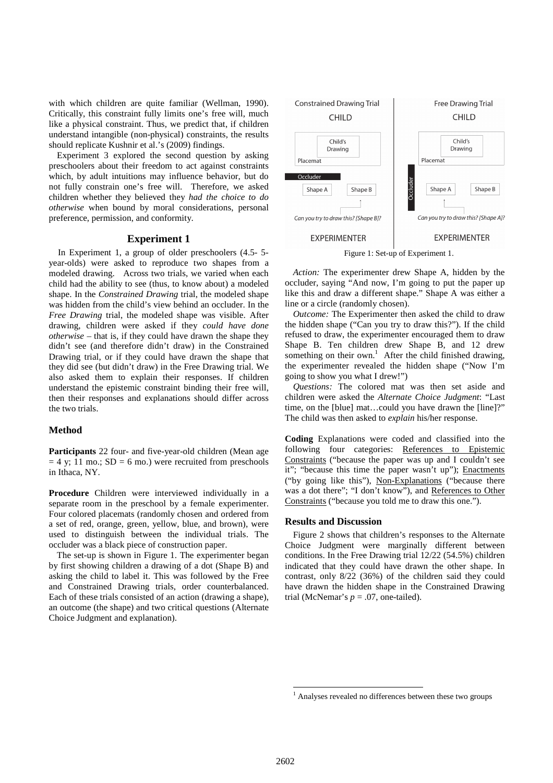with which children are quite familiar (Wellman, 1990). Critically, this constraint fully limits one's free will, much like a physical constraint. Thus, we predict that, if children understand intangible (non-physical) constraints, the results should replicate Kushnir et al.'s (2009) findings.

Experiment 3 explored the second question by asking preschoolers about their freedom to act against constraints which, by adult intuitions may influence behavior, but do not fully constrain one's free will. Therefore, we asked children whether they believed they *had the choice to do otherwise* when bound by moral considerations, personal preference, permission, and conformity.

### **Experiment 1**

 In Experiment 1, a group of older preschoolers (4.5- 5 year-olds) were asked to reproduce two shapes from a modeled drawing. Across two trials, we varied when each child had the ability to see (thus, to know about) a modeled shape. In the *Constrained Drawing* trial, the modeled shape was hidden from the child's view behind an occluder. In the *Free Drawing* trial, the modeled shape was visible. After drawing, children were asked if they *could have done otherwise* – that is, if they could have drawn the shape they didn't see (and therefore didn't draw) in the Constrained Drawing trial, or if they could have drawn the shape that they did see (but didn't draw) in the Free Drawing trial. We also asked them to explain their responses. If children understand the epistemic constraint binding their free will, then their responses and explanations should differ across the two trials.

### **Method**

**Participants** 22 four- and five-year-old children (Mean age  $= 4$  y; 11 mo.; SD = 6 mo.) were recruited from preschools in Ithaca, NY.

**Procedure** Children were interviewed individually in a separate room in the preschool by a female experimenter. Four colored placemats (randomly chosen and ordered from a set of red, orange, green, yellow, blue, and brown), were used to distinguish between the individual trials. The occluder was a black piece of construction paper.

The set-up is shown in Figure 1. The experimenter began by first showing children a drawing of a dot (Shape B) and asking the child to label it. This was followed by the Free and Constrained Drawing trials, order counterbalanced. Each of these trials consisted of an action (drawing a shape), an outcome (the shape) and two critical questions (Alternate Choice Judgment and explanation).



Figure 1: Set-up of Experiment 1.

*Action:* The experimenter drew Shape A, hidden by the occluder, saying "And now, I'm going to put the paper up like this and draw a different shape." Shape A was either a line or a circle (randomly chosen).

*Outcome:* The Experimenter then asked the child to draw the hidden shape ("Can you try to draw this?"). If the child refused to draw, the experimenter encouraged them to draw Shape B. Ten children drew Shape B, and 12 drew something on their own.<sup>1</sup> After the child finished drawing, the experimenter revealed the hidden shape ("Now I'm going to show you what I drew!")

*Questions:* The colored mat was then set aside and children were asked the *Alternate Choice Judgment*: "Last time, on the [blue] mat…could you have drawn the [line]?" The child was then asked to *explain* his/her response.

**Coding** Explanations were coded and classified into the following four categories: References to Epistemic Constraints ("because the paper was up and I couldn't see it"; "because this time the paper wasn't up"); Enactments ("by going like this"), Non-Explanations ("because there was a dot there"; "I don't know"), and References to Other Constraints ("because you told me to draw this one.").

#### **Results and Discussion**

Figure 2 shows that children's responses to the Alternate Choice Judgment were marginally different between conditions. In the Free Drawing trial 12/22 (54.5%) children indicated that they could have drawn the other shape. In contrast, only 8/22 (36%) of the children said they could have drawn the hidden shape in the Constrained Drawing trial (McNemar's  $p = .07$ , one-tailed).

 $\overline{a}$ 

<sup>&</sup>lt;sup>1</sup> Analyses revealed no differences between these two groups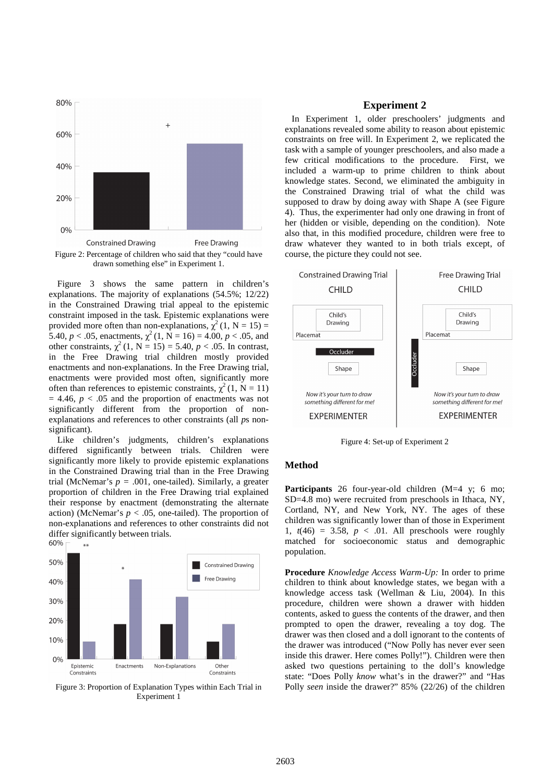

drawn something else" in Experiment 1.

Figure 3 shows the same pattern in children's explanations. The majority of explanations (54.5%; 12/22) in the Constrained Drawing trial appeal to the epistemic constraint imposed in the task. Epistemic explanations were provided more often than non-explanations,  $\chi^2(1, N = 15) =$ 5.40,  $p < .05$ , enactments,  $\chi^2(1, \hat{N} = 16) = 4.00, p < .05$ , and other constraints,  $\chi^2$  (1, N = 15) = 5.40, *p* < .05. In contrast, in the Free Drawing trial children mostly provided enactments and non-explanations. In the Free Drawing trial, enactments were provided most often, significantly more often than references to epistemic constraints,  $\chi^2$  (1, N = 11)  $= 4.46$ ,  $p < .05$  and the proportion of enactments was not significantly different from the proportion of nonexplanations and references to other constraints (all *p*s nonsignificant).

Like children's judgments, children's explanations differed significantly between trials. Children were significantly more likely to provide epistemic explanations in the Constrained Drawing trial than in the Free Drawing trial (McNemar's  $p = .001$ , one-tailed). Similarly, a greater proportion of children in the Free Drawing trial explained their response by enactment (demonstrating the alternate action) (McNemar's  $p < .05$ , one-tailed). The proportion of non-explanations and references to other constraints did not differ significantly between trials.<br>60%  $\Gamma$  \*\*



Figure 3: Proportion of Explanation Types within Each Trial in Experiment 1

# **Experiment 2**

 In Experiment 1, older preschoolers' judgments and explanations revealed some ability to reason about epistemic constraints on free will. In Experiment 2, we replicated the task with a sample of younger preschoolers, and also made a few critical modifications to the procedure. First, we included a warm-up to prime children to think about knowledge states. Second, we eliminated the ambiguity in the Constrained Drawing trial of what the child was supposed to draw by doing away with Shape A (see Figure 4). Thus, the experimenter had only one drawing in front of her (hidden or visible, depending on the condition). Note also that, in this modified procedure, children were free to draw whatever they wanted to in both trials except, of course, the picture they could not see.



Figure 4: Set-up of Experiment 2

### **Method**

**Participants** 26 four-year-old children (M=4 y; 6 mo; SD=4.8 mo) were recruited from preschools in Ithaca, NY, Cortland, NY, and New York, NY. The ages of these children was significantly lower than of those in Experiment 1,  $t(46) = 3.58$ ,  $p < .01$ . All preschools were roughly matched for socioeconomic status and demographic population.

**Procedure** *Knowledge Access Warm-Up:* In order to prime children to think about knowledge states, we began with a knowledge access task (Wellman & Liu, 2004). In this procedure, children were shown a drawer with hidden contents, asked to guess the contents of the drawer, and then prompted to open the drawer, revealing a toy dog. The drawer was then closed and a doll ignorant to the contents of the drawer was introduced ("Now Polly has never ever seen inside this drawer. Here comes Polly!"). Children were then asked two questions pertaining to the doll's knowledge state: "Does Polly *know* what's in the drawer?" and "Has Polly *seen* inside the drawer?" 85% (22/26) of the children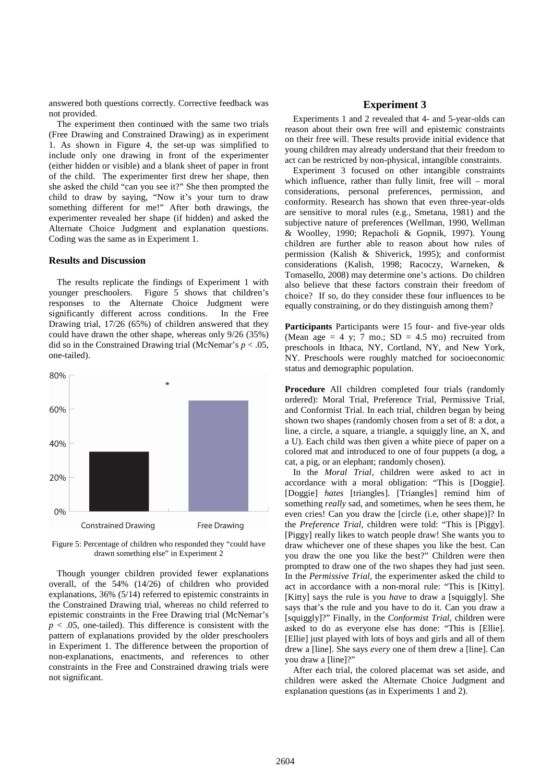answered both questions correctly. Corrective feedback was not provided.

The experiment then continued with the same two trials (Free Drawing and Constrained Drawing) as in experiment 1. As shown in Figure 4, the set-up was simplified to include only one drawing in front of the experimenter (either hidden or visible) and a blank sheet of paper in front of the child. The experimenter first drew her shape, then she asked the child "can you see it?" She then prompted the child to draw by saying, "Now it's your turn to draw something different for me!" After both drawings, the experimenter revealed her shape (if hidden) and asked the Alternate Choice Judgment and explanation questions. Coding was the same as in Experiment 1.

#### **Results and Discussion**

The results replicate the findings of Experiment 1 with younger preschoolers. Figure 5 shows that children's responses to the Alternate Choice Judgment were significantly different across conditions. In the Free Drawing trial, 17/26 (65%) of children answered that they could have drawn the other shape, whereas only 9/26 (35%) did so in the Constrained Drawing trial (McNemar's  $p < .05$ , one-tailed).



Figure 5: Percentage of children who responded they "could have drawn something else" in Experiment 2

Though younger children provided fewer explanations overall, of the 54% (14/26) of children who provided explanations, 36% (5/14) referred to epistemic constraints in the Constrained Drawing trial, whereas no child referred to epistemic constraints in the Free Drawing trial (McNemar's  $p < .05$ , one-tailed). This difference is consistent with the pattern of explanations provided by the older preschoolers in Experiment 1. The difference between the proportion of non-explanations, enactments, and references to other constraints in the Free and Constrained drawing trials were not significant.

# **Experiment 3**

Experiments 1 and 2 revealed that 4- and 5-year-olds can reason about their own free will and epistemic constraints on their free will. These results provide initial evidence that young children may already understand that their freedom to act can be restricted by non-physical, intangible constraints.

Experiment 3 focused on other intangible constraints which influence, rather than fully limit, free will – moral considerations, personal preferences, permission, and conformity. Research has shown that even three-year-olds are sensitive to moral rules (e.g., Smetana, 1981) and the subjective nature of preferences (Wellman, 1990, Wellman & Woolley, 1990; Repacholi & Gopnik, 1997). Young children are further able to reason about how rules of permission (Kalish & Shiverick, 1995); and conformist considerations (Kalish, 1998; Racoczy, Warneken, & Tomasello, 2008) may determine one's actions. Do children also believe that these factors constrain their freedom of choice? If so, do they consider these four influences to be equally constraining, or do they distinguish among them?

**Participants** Participants were 15 four- and five-year olds (Mean age = 4 y; 7 mo.;  $SD = 4.5$  mo) recruited from preschools in Ithaca, NY, Cortland, NY, and New York, NY. Preschools were roughly matched for socioeconomic status and demographic population.

**Procedure** All children completed four trials (randomly ordered): Moral Trial, Preference Trial, Permissive Trial, and Conformist Trial. In each trial, children began by being shown two shapes (randomly chosen from a set of 8: a dot, a line, a circle, a square, a triangle, a squiggly line, an X, and a U). Each child was then given a white piece of paper on a colored mat and introduced to one of four puppets (a dog, a cat, a pig, or an elephant; randomly chosen).

In the *Moral Trial*, children were asked to act in accordance with a moral obligation: "This is [Doggie]. [Doggie] *hates* [triangles]. [Triangles] remind him of something *really* sad, and sometimes, when he sees them, he even cries! Can you draw the [circle (i.e, other shape)]? In the *Preference Trial*, children were told: "This is [Piggy]. [Piggy] really likes to watch people draw! She wants you to draw whichever one of these shapes you like the best. Can you draw the one you like the best?" Children were then prompted to draw one of the two shapes they had just seen. In the *Permissive Trial*, the experimenter asked the child to act in accordance with a non-moral rule: "This is [Kitty]. [Kitty] says the rule is you *have* to draw a [squiggly]. She says that's the rule and you have to do it. Can you draw a [squiggly]?" Finally, in the *Conformist Trial*, children were asked to do as everyone else has done: "This is [Ellie]. [Ellie] just played with lots of boys and girls and all of them drew a [line]. She says *every* one of them drew a [line]. Can you draw a [line]?"

After each trial, the colored placemat was set aside, and children were asked the Alternate Choice Judgment and explanation questions (as in Experiments 1 and 2).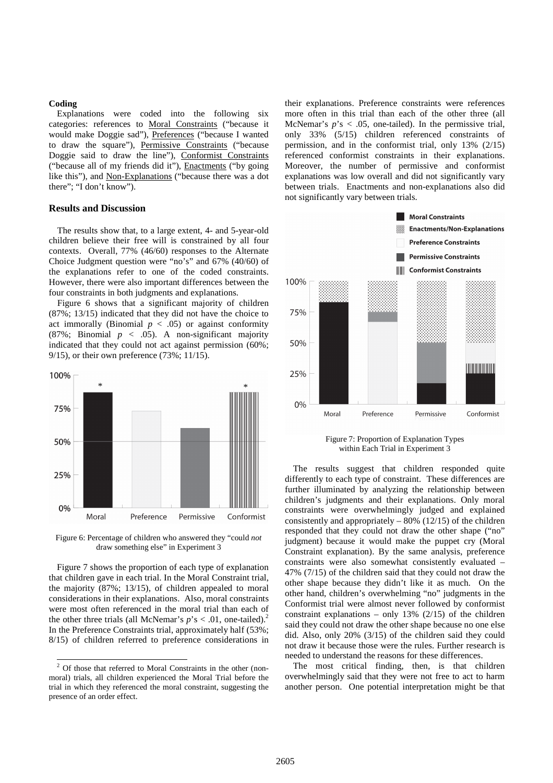#### **Coding**

Explanations were coded into the following six categories: references to Moral Constraints ("because it would make Doggie sad"), Preferences ("because I wanted to draw the square"), Permissive Constraints ("because Doggie said to draw the line"), Conformist Constraints ("because all of my friends did it"), Enactments ("by going like this"), and Non-Explanations ("because there was a dot there"; "I don't know").

### **Results and Discussion**

The results show that, to a large extent, 4- and 5-year-old children believe their free will is constrained by all four contexts. Overall, 77% (46/60) responses to the Alternate Choice Judgment question were "no's" and 67% (40/60) of the explanations refer to one of the coded constraints. However, there were also important differences between the four constraints in both judgments and explanations.

Figure 6 shows that a significant majority of children (87%; 13/15) indicated that they did not have the choice to act immorally (Binomial  $p < .05$ ) or against conformity (87%; Binomial  $p \, < \, .05$ ). A non-significant majority indicated that they could not act against permission (60%; 9/15), or their own preference (73%; 11/15).



Figure 6: Percentage of children who answered they "could *not* draw something else" in Experiment 3

Figure 7 shows the proportion of each type of explanation that children gave in each trial. In the Moral Constraint trial, the majority (87%; 13/15), of children appealed to moral considerations in their explanations. Also, moral constraints were most often referenced in the moral trial than each of the other three trials (all McNemar's  $p$ 's < .01, one-tailed).<sup>2</sup> In the Preference Constraints trial, approximately half (53%; 8/15) of children referred to preference considerations in

their explanations. Preference constraints were references more often in this trial than each of the other three (all McNemar's  $p$ 's < .05, one-tailed). In the permissive trial, only 33% (5/15) children referenced constraints of permission, and in the conformist trial, only 13% (2/15) referenced conformist constraints in their explanations. Moreover, the number of permissive and conformist explanations was low overall and did not significantly vary between trials. Enactments and non-explanations also did not significantly vary between trials.



Figure 7: Proportion of Explanation Types within Each Trial in Experiment 3

The results suggest that children responded quite differently to each type of constraint. These differences are further illuminated by analyzing the relationship between children's judgments and their explanations. Only moral constraints were overwhelmingly judged and explained consistently and appropriately  $-80\%$  (12/15) of the children responded that they could not draw the other shape ("no" judgment) because it would make the puppet cry (Moral Constraint explanation). By the same analysis, preference constraints were also somewhat consistently evaluated – 47% (7/15) of the children said that they could not draw the other shape because they didn't like it as much. On the other hand, children's overwhelming "no" judgments in the Conformist trial were almost never followed by conformist constraint explanations – only 13%  $(2/15)$  of the children said they could not draw the other shape because no one else did. Also, only 20% (3/15) of the children said they could not draw it because those were the rules. Further research is needed to understand the reasons for these differences.

The most critical finding, then, is that children overwhelmingly said that they were not free to act to harm another person. One potential interpretation might be that

 2 Of those that referred to Moral Constraints in the other (nonmoral) trials, all children experienced the Moral Trial before the trial in which they referenced the moral constraint, suggesting the presence of an order effect.